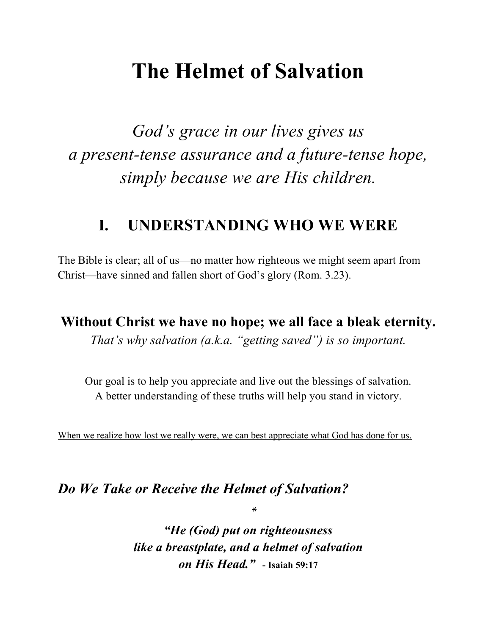## **The Helmet of Salvation**

*God's grace in our lives gives us a present-tense assurance and a future-tense hope, simply because we are His children.*

### **I. UNDERSTANDING WHO WE WERE**

The Bible is clear; all of us—no matter how righteous we might seem apart from Christ—have sinned and fallen short of God's glory (Rom. 3.23).

**Without Christ we have no hope; we all face a bleak eternity.**

*That's why salvation (a.k.a. "getting saved") is so important.*

Our goal is to help you appreciate and live out the blessings of salvation. A better understanding of these truths will help you stand in victory.

When we realize how lost we really were, we can best appreciate what God has done for us.

#### *Do We Take or Receive the Helmet of Salvation?*

*"He (God) put on righteousness like a breastplate, and a helmet of salvation on His Head."* **- Isaiah 59:17**

 $\ast$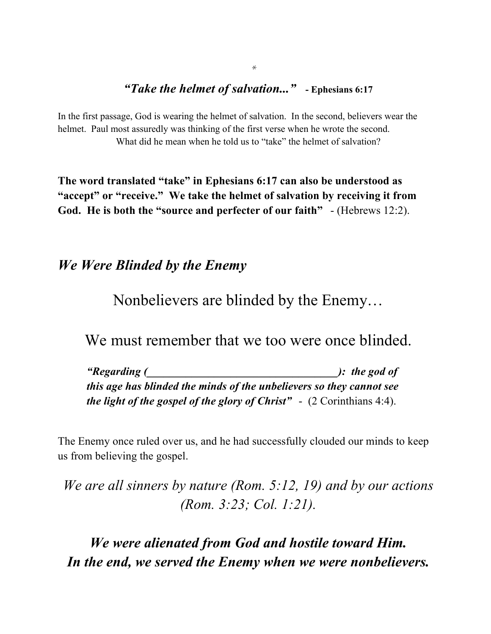#### *"Take the helmet of salvation..."* **- Ephesians 6:17**

In the first passage, God is wearing the helmet of salvation. In the second, believers wear the helmet. Paul most assuredly was thinking of the first verse when he wrote the second. What did he mean when he told us to "take" the helmet of salvation?

**The word translated "take" in Ephesians 6:17 can also be understood as "accept" or "receive." We take the helmet of salvation by receiving it from**  God. He is both the "source and perfecter of our faith" - (Hebrews 12:2).

#### *We Were Blinded by the Enemy*

Nonbelievers are blinded by the Enemy…

We must remember that we too were once blinded.

*"Regarding (\_\_\_\_\_\_\_\_\_\_\_\_\_\_\_\_\_\_\_\_\_\_\_\_\_\_\_\_\_\_\_\_\_\_): the god of this age has blinded the minds of the unbelievers so they cannot see the light of the gospel of the glory of Christ"*- (2 Corinthians 4:4).

The Enemy once ruled over us, and he had successfully clouded our minds to keep us from believing the gospel.

*We are all sinners by nature (Rom. 5:12, 19) and by our actions (Rom. 3:23; Col. 1:21).* 

*We were alienated from God and hostile toward Him. In the end, we served the Enemy when we were nonbelievers.*

 $\ast$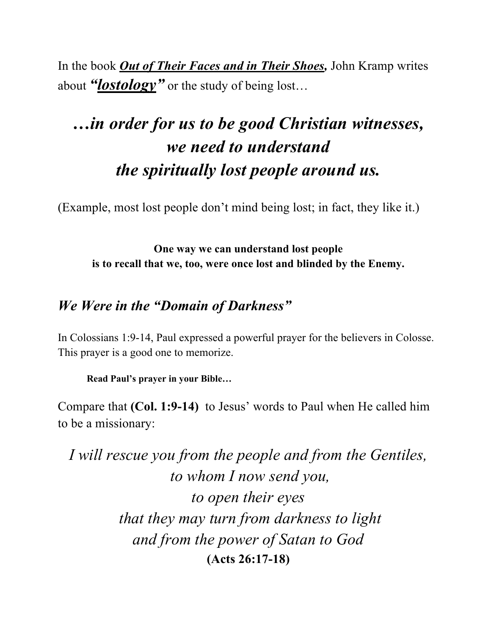In the book *Out of Their Faces and in Their Shoes,* John Kramp writes about "*lostology*" or the study of being lost...

## *…in order for us to be good Christian witnesses, we need to understand the spiritually lost people around us.*

(Example, most lost people don't mind being lost; in fact, they like it.)

**One way we can understand lost people is to recall that we, too, were once lost and blinded by the Enemy.**

### *We Were in the "Domain of Darkness"*

In Colossians 1:9-14, Paul expressed a powerful prayer for the believers in Colosse. This prayer is a good one to memorize.

**Read Paul's prayer in your Bible…**

Compare that **(Col. 1:9-14)** to Jesus' words to Paul when He called him to be a missionary:

*I will rescue you from the people and from the Gentiles, to whom I now send you, to open their eyes that they may turn from darkness to light and from the power of Satan to God* **(Acts 26:17-18)**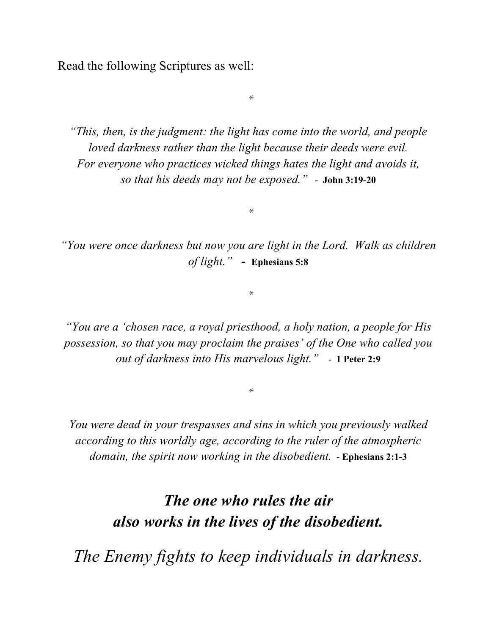Read the following Scriptures as well:

*"This, then, is the judgment: the light has come into the world, and people loved darkness rather than the light because their deeds were evil. For everyone who practices wicked things hates the light and avoids it, so that his deeds may not be exposed."* - **John 3:19-20**

*"You were once darkness but now you are light in the Lord. Walk as children of light." -* **Ephesians 5:8**

 $\ast$ 

 $\ast$ 

*"You are a 'chosen race, a royal priesthood, a holy nation, a people for His possession, so that you may proclaim the praises' of the One who called you out of darkness into His marvelous light."* - **1 Peter 2:9**

*You were dead in your trespasses and sins in which you previously walked according to this worldly age, according to the ruler of the atmospheric domain, the spirit now working in the disobedient.* - **Ephesians 2:1-3**

> *The one who rules the air also works in the lives of the disobedient.*

*The Enemy fights to keep individuals in darkness.*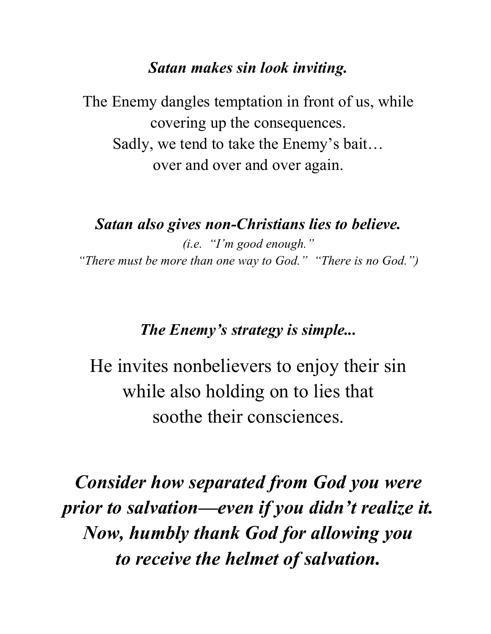#### *Satan makes sin look inviting.*

The Enemy dangles temptation in front of us, while covering up the consequences. Sadly, we tend to take the Enemy's bait… over and over and over again.

*Satan also gives non-Christians lies to believe. (i.e. "I'm good enough." "There must be more than one way to God." "There is no God.")*

### *The Enemy's strategy is simple...*

He invites nonbelievers to enjoy their sin while also holding on to lies that soothe their consciences.

*Consider how separated from God you were prior to salvation—even if you didn't realize it. Now, humbly thank God for allowing you to receive the helmet of salvation.*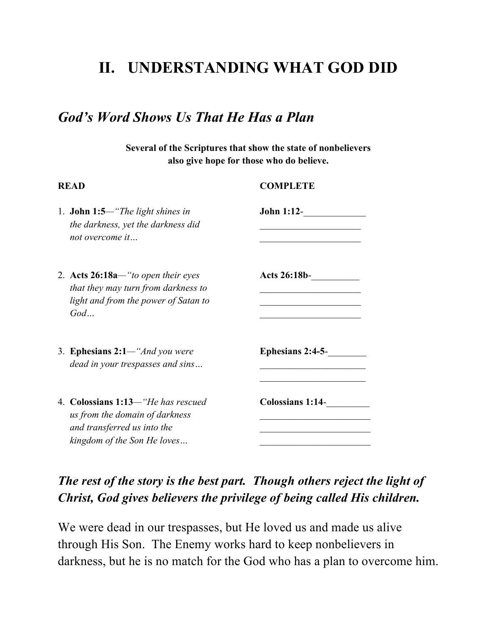### **II. UNDERSTANDING WHAT GOD DID**

#### *God's Word Shows Us That He Has a Plan*

**Several of the Scriptures that show the state of nonbelievers also give hope for those who do believe.**

| <b>READ</b>                                                                                                                        | <b>COMPLETE</b>         |  |
|------------------------------------------------------------------------------------------------------------------------------------|-------------------------|--|
| 1. <b>John 1:5</b> —"The light shines in<br>the darkness, yet the darkness did<br>not overcome it                                  | <b>John 1:12-</b>       |  |
| 2. Acts $26:18a$ —"to open their eyes<br>that they may turn from darkness to<br>light and from the power of Satan to<br>God        | <b>Acts 26:18b-</b>     |  |
| 3. Ephesians $2:1$ —"And you were<br>dead in your trespasses and sins                                                              | Ephesians $2:4-5-$      |  |
| 4. Colossians 1:13—"He has rescued<br>us from the domain of darkness<br>and transferred us into the<br>kingdom of the Son He loves | <b>Colossians 1:14-</b> |  |

#### *The rest of the story is the best part. Though others reject the light of Christ, God gives believers the privilege of being called His children.*

We were dead in our trespasses, but He loved us and made us alive through His Son. The Enemy works hard to keep nonbelievers in darkness, but he is no match for the God who has a plan to overcome him.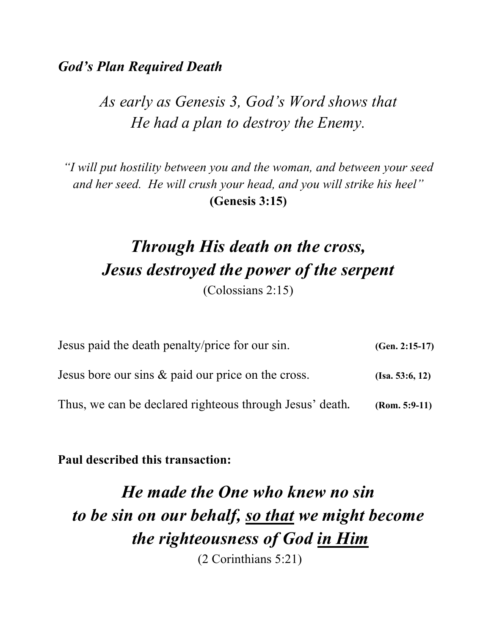#### *God's Plan Required Death*

## *As early as Genesis 3, God's Word shows that He had a plan to destroy the Enemy.*

*"I will put hostility between you and the woman, and between your seed and her seed. He will crush your head, and you will strike his heel"* **(Genesis 3:15)**

## *Through His death on the cross, Jesus destroyed the power of the serpent* (Colossians 2:15)

| Jesus paid the death penalty/price for our sin.          | $(Gen. 2:15-17)$ |
|----------------------------------------------------------|------------------|
| Jesus bore our sins & paid our price on the cross.       | (Isa. 53:6, 12)  |
| Thus, we can be declared righteous through Jesus' death. | $(Rom. 5:9-11)$  |

**Paul described this transaction:**

## *He made the One who knew no sin to be sin on our behalf, so that we might become the righteousness of God in Him* (2 Corinthians 5:21)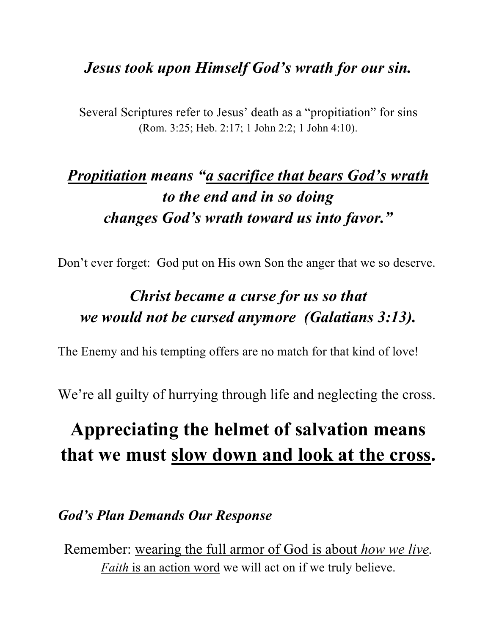### *Jesus took upon Himself God's wrath for our sin.*

Several Scriptures refer to Jesus' death as a "propitiation" for sins (Rom. 3:25; Heb. 2:17; 1 John 2:2; 1 John 4:10).

## *Propitiation means "a sacrifice that bears God's wrath to the end and in so doing changes God's wrath toward us into favor."*

Don't ever forget: God put on His own Son the anger that we so deserve.

## *Christ became a curse for us so that we would not be cursed anymore (Galatians 3:13).*

The Enemy and his tempting offers are no match for that kind of love!

We're all guilty of hurrying through life and neglecting the cross.

## **Appreciating the helmet of salvation means that we must slow down and look at the cross.**

#### *God's Plan Demands Our Response*

Remember: wearing the full armor of God is about *how we live. Faith* is an action word we will act on if we truly believe.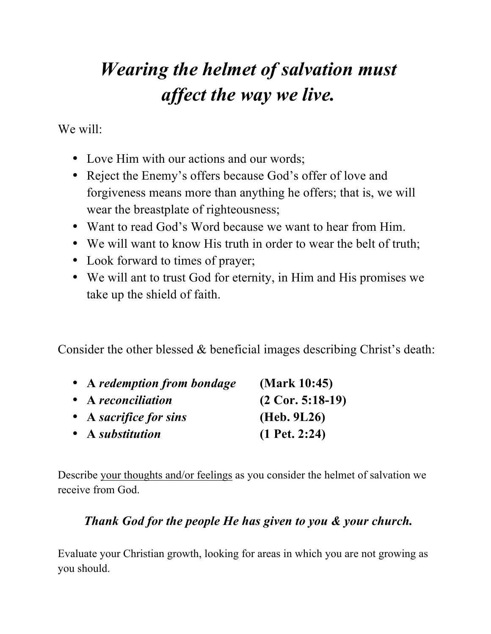# *Wearing the helmet of salvation must affect the way we live.*

We will:

- Love Him with our actions and our words;
- Reject the Enemy's offers because God's offer of love and forgiveness means more than anything he offers; that is, we will wear the breastplate of righteousness;
- Want to read God's Word because we want to hear from Him.
- We will want to know His truth in order to wear the belt of truth;
- Look forward to times of prayer;
- We will ant to trust God for eternity, in Him and His promises we take up the shield of faith.

Consider the other blessed & beneficial images describing Christ's death:

| • A redemption from bondage | (Mark 10:45)       |
|-----------------------------|--------------------|
| • A reconciliation          | $(2$ Cor. 5:18-19) |
| • A sacrifice for sins      | (Heb. 9L26)        |
| • A substitution            | $(1$ Pet. 2:24)    |

Describe your thoughts and/or feelings as you consider the helmet of salvation we receive from God.

#### *Thank God for the people He has given to you & your church.*

Evaluate your Christian growth, looking for areas in which you are not growing as you should.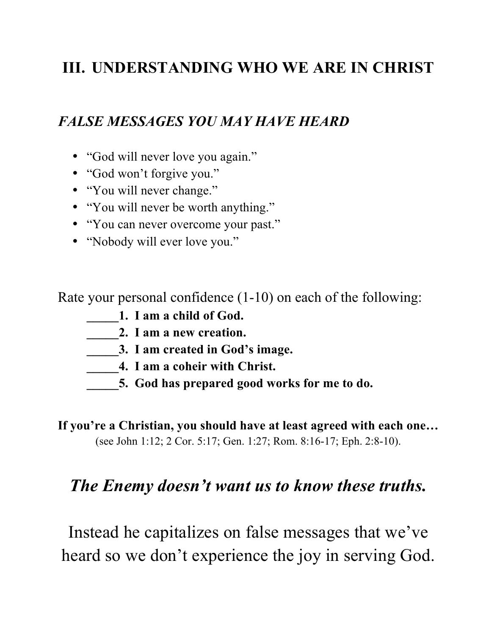## **III. UNDERSTANDING WHO WE ARE IN CHRIST**

#### *FALSE MESSAGES YOU MAY HAVE HEARD*

- "God will never love you again."
- "God won't forgive you."
- "You will never change."
- "You will never be worth anything."
- "You can never overcome your past."
- "Nobody will ever love you."

Rate your personal confidence (1-10) on each of the following:

- **\_\_\_\_\_1. I am a child of God.**
- **\_\_\_\_\_2. I am a new creation.**
- **\_\_\_\_\_3. I am created in God's image.**
- **\_\_\_\_\_4. I am a coheir with Christ.**
- **\_\_\_\_\_5. God has prepared good works for me to do.**

**If you're a Christian, you should have at least agreed with each one…** (see John 1:12; 2 Cor. 5:17; Gen. 1:27; Rom. 8:16-17; Eph. 2:8-10).

#### *The Enemy doesn't want us to know these truths.*

Instead he capitalizes on false messages that we've heard so we don't experience the joy in serving God.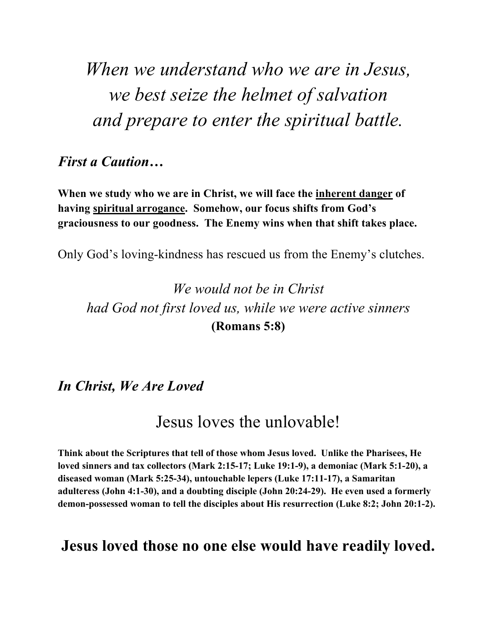*When we understand who we are in Jesus, we best seize the helmet of salvation and prepare to enter the spiritual battle.*

#### *First a Caution…*

**When we study who we are in Christ, we will face the inherent danger of having spiritual arrogance. Somehow, our focus shifts from God's graciousness to our goodness. The Enemy wins when that shift takes place.**

Only God's loving-kindness has rescued us from the Enemy's clutches.

*We would not be in Christ had God not first loved us, while we were active sinners* **(Romans 5:8)**

*In Christ, We Are Loved*

### Jesus loves the unlovable!

**Think about the Scriptures that tell of those whom Jesus loved. Unlike the Pharisees, He loved sinners and tax collectors (Mark 2:15-17; Luke 19:1-9), a demoniac (Mark 5:1-20), a diseased woman (Mark 5:25-34), untouchable lepers (Luke 17:11-17), a Samaritan adulteress (John 4:1-30), and a doubting disciple (John 20:24-29). He even used a formerly demon-possessed woman to tell the disciples about His resurrection (Luke 8:2; John 20:1-2).**

#### **Jesus loved those no one else would have readily loved.**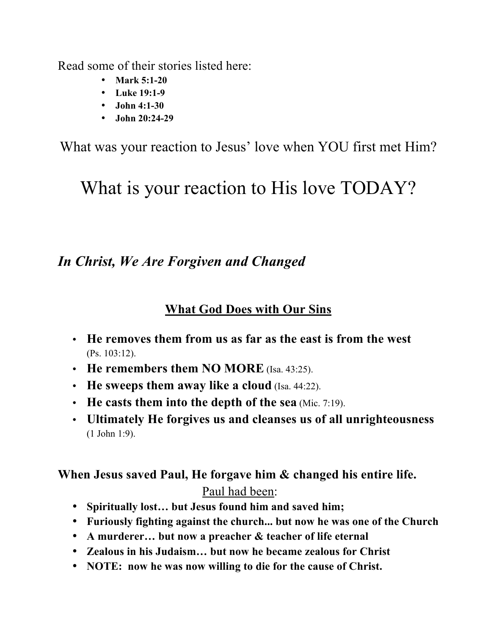Read some of their stories listed here:

- **Mark 5:1-20**
- **Luke 19:1-9**
- **John 4:1-30**
- **John 20:24-29**

What was your reaction to Jesus' love when YOU first met Him?

## What is your reaction to His love TODAY?

### *In Christ, We Are Forgiven and Changed*

#### **What God Does with Our Sins**

- **He removes them from us as far as the east is from the west** (Ps. 103:12).
- **He remembers them NO MORE** (Isa. 43:25).
- **He sweeps them away like a cloud** (Isa. 44:22).
- **He casts them into the depth of the sea** (Mic. 7:19).
- **Ultimately He forgives us and cleanses us of all unrighteousness** (1 John 1:9).

#### **When Jesus saved Paul, He forgave him & changed his entire life.**  Paul had been:

- **Spiritually lost… but Jesus found him and saved him;**
- **Furiously fighting against the church... but now he was one of the Church**
- **A murderer… but now a preacher & teacher of life eternal**
- **Zealous in his Judaism… but now he became zealous for Christ**
- **NOTE: now he was now willing to die for the cause of Christ.**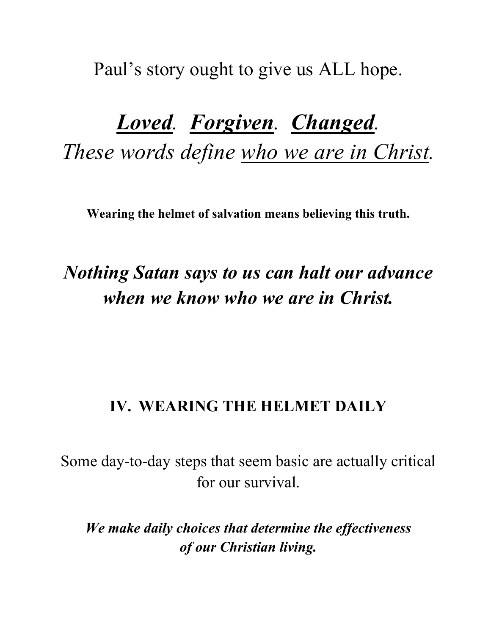Paul's story ought to give us ALL hope.

# *Loved. Forgiven. Changed. These words define who we are in Christ.*

**Wearing the helmet of salvation means believing this truth.**

## *Nothing Satan says to us can halt our advance when we know who we are in Christ.*

### **IV. WEARING THE HELMET DAILY**

Some day-to-day steps that seem basic are actually critical for our survival.

*We make daily choices that determine the effectiveness of our Christian living.*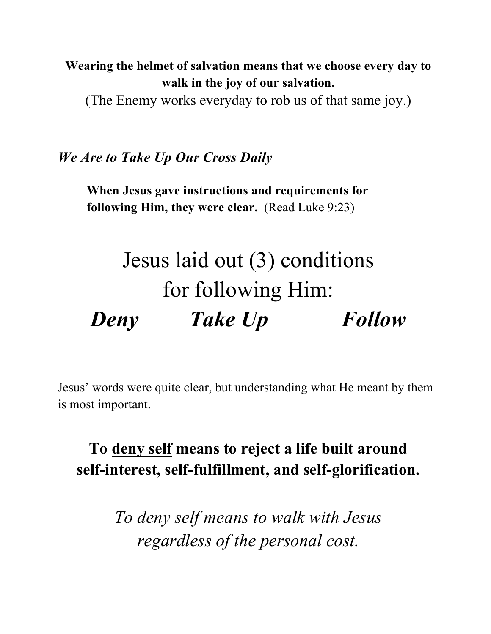#### **Wearing the helmet of salvation means that we choose every day to walk in the joy of our salvation.**

(The Enemy works everyday to rob us of that same joy.)

*We Are to Take Up Our Cross Daily*

**When Jesus gave instructions and requirements for following Him, they were clear.** (Read Luke 9:23)

# Jesus laid out (3) conditions for following Him: *Deny Take Up Follow*

Jesus' words were quite clear, but understanding what He meant by them is most important.

**To deny self means to reject a life built around self-interest, self-fulfillment, and self-glorification.**

> *To deny self means to walk with Jesus regardless of the personal cost.*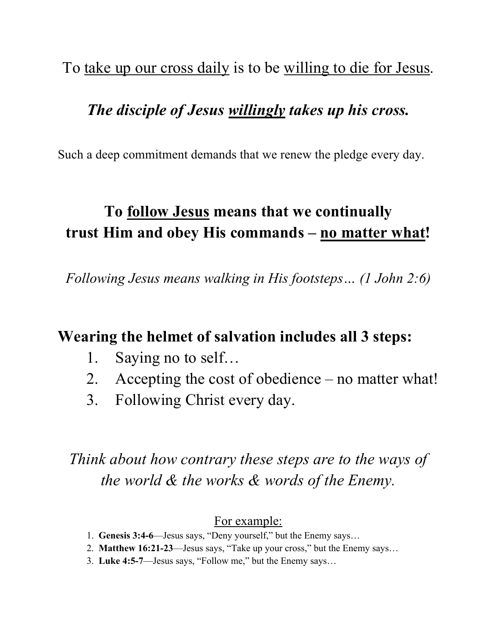To <u>take up our cross daily</u> is to be willing to die for Jesus.

### *The disciple of Jesus willingly takes up his cross.*

Such a deep commitment demands that we renew the pledge every day.

## **To follow Jesus means that we continually trust Him and obey His commands – no matter what!**

*Following Jesus means walking in His footsteps… (1 John 2:6)*

#### **Wearing the helmet of salvation includes all 3 steps:**

- 1. Saying no to self…
- 2. Accepting the cost of obedience no matter what!
- 3. Following Christ every day.

*Think about how contrary these steps are to the ways of the world & the works & words of the Enemy.*

#### For example:

- 1. **Genesis 3:4-6**—Jesus says, "Deny yourself," but the Enemy says…
- 2. **Matthew 16:21-23**—Jesus says, "Take up your cross," but the Enemy says…
- 3. **Luke 4:5-7**—Jesus says, "Follow me," but the Enemy says…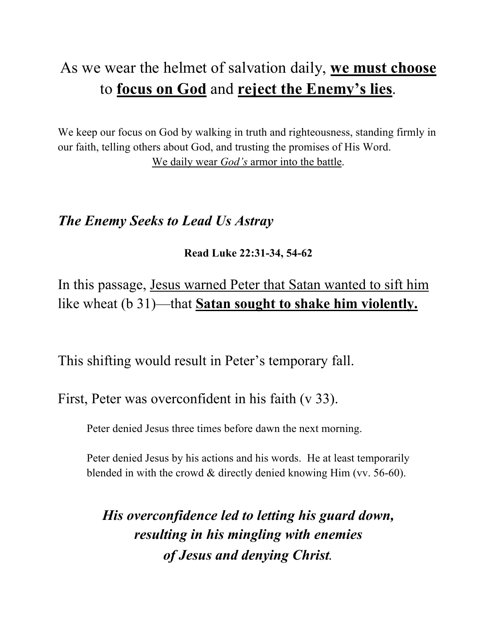## As we wear the helmet of salvation daily, **we must choose** to **focus on God** and **reject the Enemy's lies**.

We keep our focus on God by walking in truth and righteousness, standing firmly in our faith, telling others about God, and trusting the promises of His Word. We daily wear *God's* armor into the battle.

#### *The Enemy Seeks to Lead Us Astray*

**Read Luke 22:31-34, 54-62**

In this passage, Jesus warned Peter that Satan wanted to sift him like wheat (b 31)—that **Satan sought to shake him violently.** 

This shifting would result in Peter's temporary fall.

First, Peter was overconfident in his faith (v 33).

Peter denied Jesus three times before dawn the next morning.

Peter denied Jesus by his actions and his words. He at least temporarily blended in with the crowd & directly denied knowing Him (vv. 56-60).

*His overconfidence led to letting his guard down, resulting in his mingling with enemies of Jesus and denying Christ.*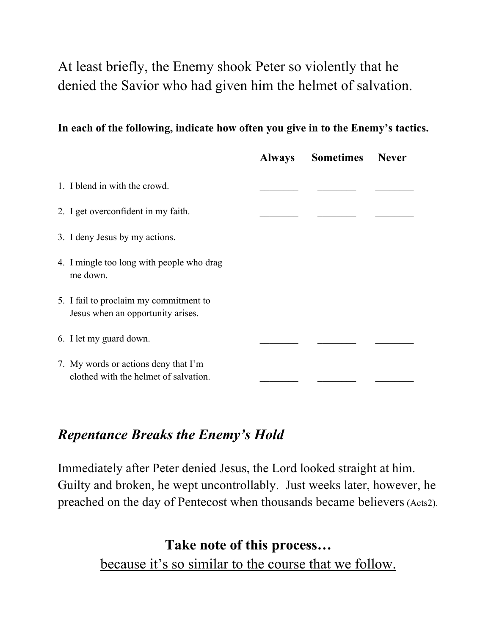### At least briefly, the Enemy shook Peter so violently that he denied the Savior who had given him the helmet of salvation.

#### **In each of the following, indicate how often you give in to the Enemy's tactics.**

|                                                                               | <b>Always</b> | <b>Sometimes</b> Never |  |
|-------------------------------------------------------------------------------|---------------|------------------------|--|
| 1. I blend in with the crowd.                                                 |               |                        |  |
| 2. I get overconfident in my faith.                                           |               |                        |  |
| 3. I deny Jesus by my actions.                                                |               |                        |  |
| 4. I mingle too long with people who drag<br>me down.                         |               |                        |  |
| 5. I fail to proclaim my commitment to<br>Jesus when an opportunity arises.   |               |                        |  |
| 6. I let my guard down.                                                       |               |                        |  |
| 7. My words or actions deny that I'm<br>clothed with the helmet of salvation. |               |                        |  |

#### *Repentance Breaks the Enemy's Hold*

Immediately after Peter denied Jesus, the Lord looked straight at him. Guilty and broken, he wept uncontrollably. Just weeks later, however, he preached on the day of Pentecost when thousands became believers (Acts2).

> **Take note of this process…** because it's so similar to the course that we follow.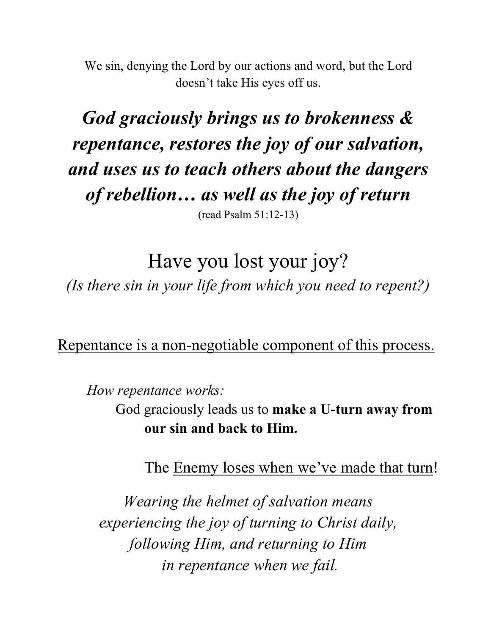We sin, denying the Lord by our actions and word, but the Lord doesn't take His eyes off us.

## *God graciously brings us to brokenness & repentance, restores the joy of our salvation, and uses us to teach others about the dangers of rebellion… as well as the joy of return* (read Psalm 51:12-13)

Have you lost your joy? *(Is there sin in your life from which you need to repent?)*

Repentance is a non-negotiable component of this process.

*How repentance works:*

God graciously leads us to **make a U-turn away from our sin and back to Him.**

The Enemy loses when we've made that turn!

*Wearing the helmet of salvation means experiencing the joy of turning to Christ daily, following Him, and returning to Him in repentance when we fail.*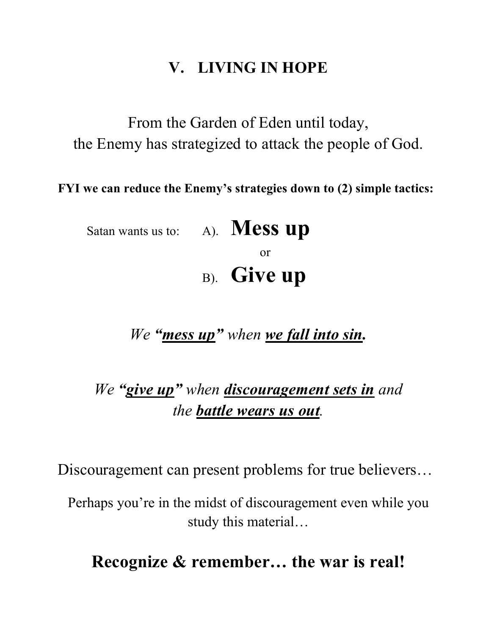### **V. LIVING IN HOPE**

From the Garden of Eden until today, the Enemy has strategized to attack the people of God.

**FYI we can reduce the Enemy's strategies down to (2) simple tactics:**

Satan wants us to: A). **Mess up** or B). **Give up**

*We "mess up" when we fall into sin.*

## *We "give up" when discouragement sets in and the battle wears us out.*

Discouragement can present problems for true believers…

Perhaps you're in the midst of discouragement even while you study this material…

### **Recognize & remember… the war is real!**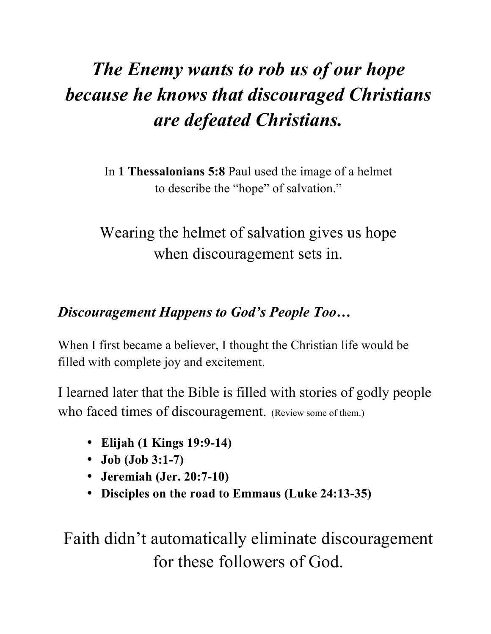# *The Enemy wants to rob us of our hope because he knows that discouraged Christians are defeated Christians.*

In **1 Thessalonians 5:8** Paul used the image of a helmet to describe the "hope" of salvation."

Wearing the helmet of salvation gives us hope when discouragement sets in.

### *Discouragement Happens to God's People Too…*

When I first became a believer, I thought the Christian life would be filled with complete joy and excitement.

I learned later that the Bible is filled with stories of godly people who faced times of discouragement. (Review some of them.)

- **Elijah (1 Kings 19:9-14)**
- **Job (Job 3:1-7)**
- **Jeremiah (Jer. 20:7-10)**
- **Disciples on the road to Emmaus (Luke 24:13-35)**

Faith didn't automatically eliminate discouragement for these followers of God.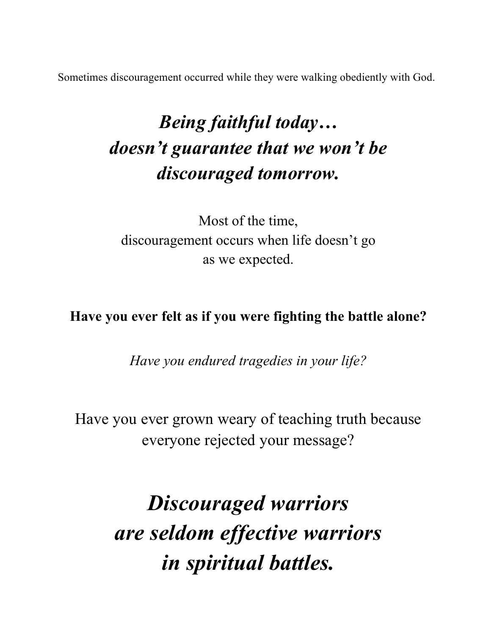Sometimes discouragement occurred while they were walking obediently with God.

# *Being faithful today… doesn't guarantee that we won't be discouraged tomorrow.*

Most of the time, discouragement occurs when life doesn't go as we expected.

**Have you ever felt as if you were fighting the battle alone?**

*Have you endured tragedies in your life?*

Have you ever grown weary of teaching truth because everyone rejected your message?

> *Discouraged warriors are seldom effective warriors in spiritual battles.*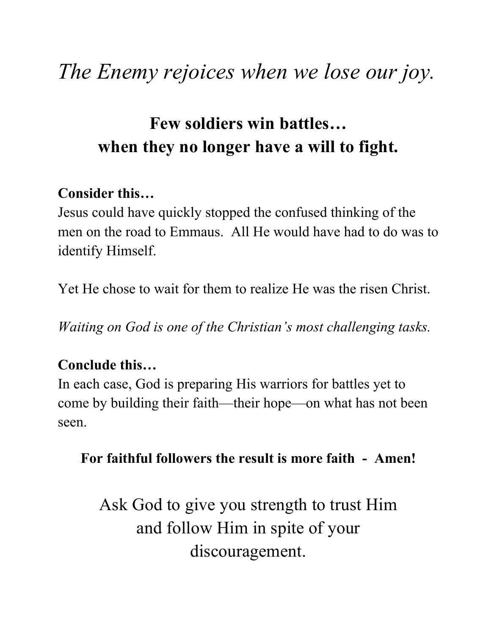# *The Enemy rejoices when we lose our joy.*

## **Few soldiers win battles… when they no longer have a will to fight.**

### **Consider this…**

Jesus could have quickly stopped the confused thinking of the men on the road to Emmaus. All He would have had to do was to identify Himself.

Yet He chose to wait for them to realize He was the risen Christ.

*Waiting on God is one of the Christian's most challenging tasks.*

### **Conclude this…**

In each case, God is preparing His warriors for battles yet to come by building their faith—their hope—on what has not been seen.

#### **For faithful followers the result is more faith - Amen!**

Ask God to give you strength to trust Him and follow Him in spite of your discouragement.